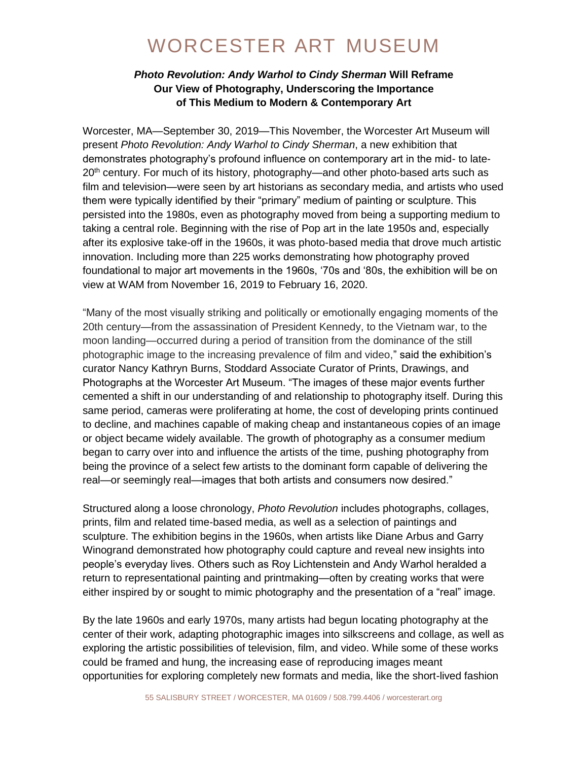### *Photo Revolution: Andy Warhol to Cindy Sherman* **Will Reframe Our View of Photography, Underscoring the Importance of This Medium to Modern & Contemporary Art**

Worcester, MA—September 30, 2019—This November, the Worcester Art Museum will present *Photo Revolution: Andy Warhol to Cindy Sherman*, a new exhibition that demonstrates photography's profound influence on contemporary art in the mid- to late-20<sup>th</sup> century. For much of its history, photography—and other photo-based arts such as film and television—were seen by art historians as secondary media, and artists who used them were typically identified by their "primary" medium of painting or sculpture. This persisted into the 1980s, even as photography moved from being a supporting medium to taking a central role. Beginning with the rise of Pop art in the late 1950s and, especially after its explosive take-off in the 1960s, it was photo-based media that drove much artistic innovation. Including more than 225 works demonstrating how photography proved foundational to major art movements in the 1960s, '70s and '80s, the exhibition will be on view at WAM from November 16, 2019 to February 16, 2020.

"Many of the most visually striking and politically or emotionally engaging moments of the 20th century—from the assassination of President Kennedy, to the Vietnam war, to the moon landing—occurred during a period of transition from the dominance of the still photographic image to the increasing prevalence of film and video," said the exhibition's curator Nancy Kathryn Burns, Stoddard Associate Curator of Prints, Drawings, and Photographs at the Worcester Art Museum. "The images of these major events further cemented a shift in our understanding of and relationship to photography itself. During this same period, cameras were proliferating at home, the cost of developing prints continued to decline, and machines capable of making cheap and instantaneous copies of an image or object became widely available. The growth of photography as a consumer medium began to carry over into and influence the artists of the time, pushing photography from being the province of a select few artists to the dominant form capable of delivering the real—or seemingly real—images that both artists and consumers now desired."

Structured along a loose chronology, *Photo Revolution* includes photographs, collages, prints, film and related time-based media, as well as a selection of paintings and sculpture. The exhibition begins in the 1960s, when artists like Diane Arbus and Garry Winogrand demonstrated how photography could capture and reveal new insights into people's everyday lives. Others such as Roy Lichtenstein and Andy Warhol heralded a return to representational painting and printmaking—often by creating works that were either inspired by or sought to mimic photography and the presentation of a "real" image.

By the late 1960s and early 1970s, many artists had begun locating photography at the center of their work, adapting photographic images into silkscreens and collage, as well as exploring the artistic possibilities of television, film, and video. While some of these works could be framed and hung, the increasing ease of reproducing images meant opportunities for exploring completely new formats and media, like the short-lived fashion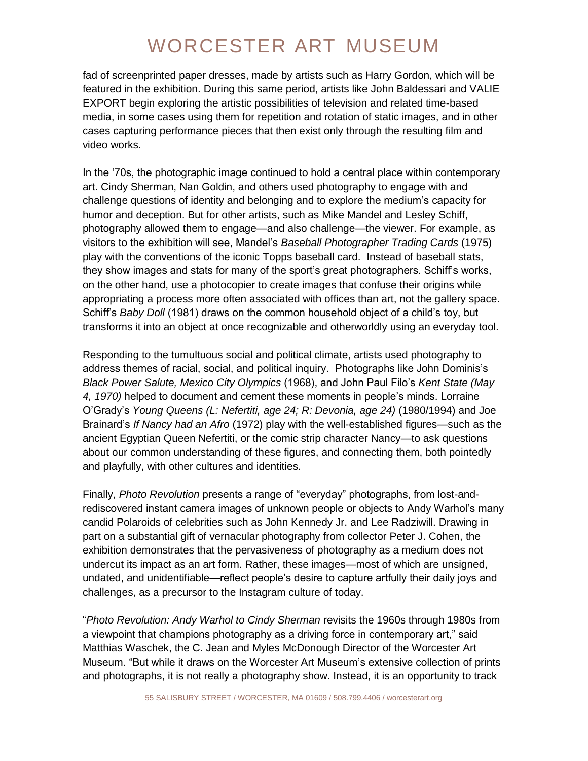fad of screenprinted paper dresses, made by artists such as Harry Gordon, which will be featured in the exhibition. During this same period, artists like John Baldessari and VALIE EXPORT begin exploring the artistic possibilities of television and related time-based media, in some cases using them for repetition and rotation of static images, and in other cases capturing performance pieces that then exist only through the resulting film and video works.

In the '70s, the photographic image continued to hold a central place within contemporary art. Cindy Sherman, Nan Goldin, and others used photography to engage with and challenge questions of identity and belonging and to explore the medium's capacity for humor and deception. But for other artists, such as Mike Mandel and Lesley Schiff, photography allowed them to engage—and also challenge—the viewer. For example, as visitors to the exhibition will see, Mandel's *Baseball Photographer Trading Cards* (1975) play with the conventions of the iconic Topps baseball card. Instead of baseball stats, they show images and stats for many of the sport's great photographers. Schiff's works, on the other hand, use a photocopier to create images that confuse their origins while appropriating a process more often associated with offices than art, not the gallery space. Schiff's *Baby Doll* (1981) draws on the common household object of a child's toy, but transforms it into an object at once recognizable and otherworldly using an everyday tool.

Responding to the tumultuous social and political climate, artists used photography to address themes of racial, social, and political inquiry. Photographs like John Dominis's *Black Power Salute, Mexico City Olympics* (1968), and John Paul Filo's *Kent State (May 4, 1970)* helped to document and cement these moments in people's minds. Lorraine O'Grady's *Young Queens (L: Nefertiti, age 24; R: Devonia, age 24)* (1980/1994) and Joe Brainard's *If Nancy had an Afro* (1972) play with the well-established figures—such as the ancient Egyptian Queen Nefertiti, or the comic strip character Nancy—to ask questions about our common understanding of these figures, and connecting them, both pointedly and playfully, with other cultures and identities.

Finally, *Photo Revolution* presents a range of "everyday" photographs, from lost-andrediscovered instant camera images of unknown people or objects to Andy Warhol's many candid Polaroids of celebrities such as John Kennedy Jr. and Lee Radziwill. Drawing in part on a substantial gift of vernacular photography from collector Peter J. Cohen, the exhibition demonstrates that the pervasiveness of photography as a medium does not undercut its impact as an art form. Rather, these images—most of which are unsigned, undated, and unidentifiable—reflect people's desire to capture artfully their daily joys and challenges, as a precursor to the Instagram culture of today.

"*Photo Revolution: Andy Warhol to Cindy Sherman* revisits the 1960s through 1980s from a viewpoint that champions photography as a driving force in contemporary art," said Matthias Waschek, the C. Jean and Myles McDonough Director of the Worcester Art Museum. "But while it draws on the Worcester Art Museum's extensive collection of prints and photographs, it is not really a photography show. Instead, it is an opportunity to track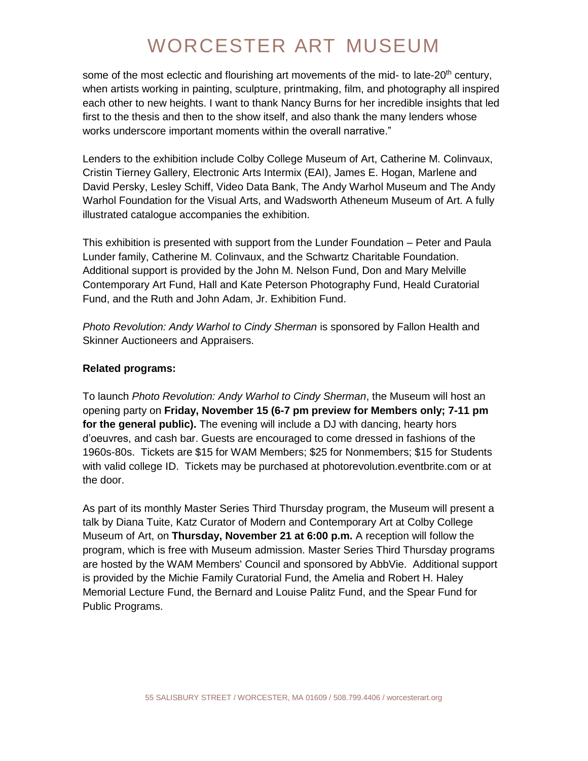some of the most eclectic and flourishing art movements of the mid- to late-20<sup>th</sup> century, when artists working in painting, sculpture, printmaking, film, and photography all inspired each other to new heights. I want to thank Nancy Burns for her incredible insights that led first to the thesis and then to the show itself, and also thank the many lenders whose works underscore important moments within the overall narrative."

Lenders to the exhibition include Colby College Museum of Art, Catherine M. Colinvaux, Cristin Tierney Gallery, Electronic Arts Intermix (EAI), James E. Hogan, Marlene and David Persky, Lesley Schiff, Video Data Bank, The Andy Warhol Museum and The Andy Warhol Foundation for the Visual Arts, and Wadsworth Atheneum Museum of Art. A fully illustrated catalogue accompanies the exhibition.

This exhibition is presented with support from the Lunder Foundation – Peter and Paula Lunder family, Catherine M. Colinvaux, and the Schwartz Charitable Foundation. Additional support is provided by the John M. Nelson Fund, Don and Mary Melville Contemporary Art Fund, Hall and Kate Peterson Photography Fund, Heald Curatorial Fund, and the Ruth and John Adam, Jr. Exhibition Fund.

*Photo Revolution: Andy Warhol to Cindy Sherman* is sponsored by Fallon Health and Skinner Auctioneers and Appraisers.

### **Related programs:**

To launch *Photo Revolution: Andy Warhol to Cindy Sherman*, the Museum will host an opening party on **Friday, November 15 (6-7 pm preview for Members only; 7-11 pm for the general public).** The evening will include a DJ with dancing, hearty hors d'oeuvres, and cash bar. Guests are encouraged to come dressed in fashions of the 1960s-80s. Tickets are \$15 for WAM Members; \$25 for Nonmembers; \$15 for Students with valid college ID. Tickets may be purchased at photorevolution.eventbrite.com or at the door.

As part of its monthly Master Series Third Thursday program, the Museum will present a talk by Diana Tuite, Katz Curator of Modern and Contemporary Art at Colby College Museum of Art, on **Thursday, November 21 at 6:00 p.m.** A reception will follow the program, which is free with Museum admission. Master Series Third Thursday programs are hosted by the WAM Members' Council and sponsored by AbbVie. Additional support is provided by the Michie Family Curatorial Fund, the Amelia and Robert H. Haley Memorial Lecture Fund, the Bernard and Louise Palitz Fund, and the Spear Fund for Public Programs.